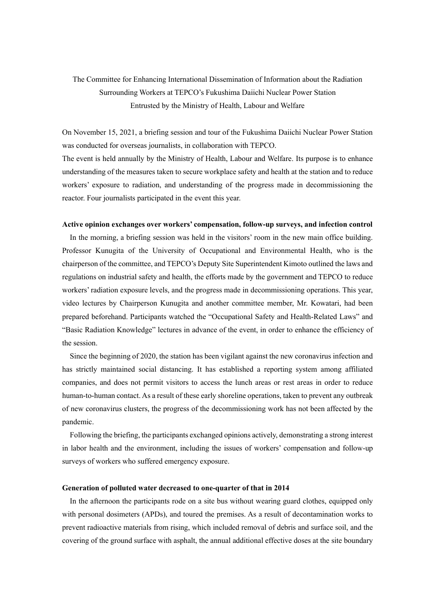## The Committee for Enhancing International Dissemination of Information about the Radiation Surrounding Workers at TEPCO's Fukushima Daiichi Nuclear Power Station Entrusted by the Ministry of Health, Labour and Welfare

On November 15, 2021, a briefing session and tour of the Fukushima Daiichi Nuclear Power Station was conducted for overseas journalists, in collaboration with TEPCO.

The event is held annually by the Ministry of Health, Labour and Welfare. Its purpose is to enhance understanding of the measures taken to secure workplace safety and health at the station and to reduce workers' exposure to radiation, and understanding of the progress made in decommissioning the reactor. Four journalists participated in the event this year.

## **Active opinion exchanges over workers' compensation, follow-up surveys, and infection control**

In the morning, a briefing session was held in the visitors' room in the new main office building. Professor Kunugita of the University of Occupational and Environmental Health, who is the chairperson of the committee, and TEPCO's Deputy Site Superintendent Kimoto outlined the laws and regulations on industrial safety and health, the efforts made by the government and TEPCO to reduce workers' radiation exposure levels, and the progress made in decommissioning operations. This year, video lectures by Chairperson Kunugita and another committee member, Mr. Kowatari, had been prepared beforehand. Participants watched the "Occupational Safety and Health-Related Laws" and "Basic Radiation Knowledge" lectures in advance of the event, in order to enhance the efficiency of the session.

Since the beginning of 2020, the station has been vigilant against the new coronavirus infection and has strictly maintained social distancing. It has established a reporting system among affiliated companies, and does not permit visitors to access the lunch areas or rest areas in order to reduce human-to-human contact. As a result of these early shoreline operations, taken to prevent any outbreak of new coronavirus clusters, the progress of the decommissioning work has not been affected by the pandemic.

Following the briefing, the participants exchanged opinions actively, demonstrating a strong interest in labor health and the environment, including the issues of workers' compensation and follow-up surveys of workers who suffered emergency exposure.

## **Generation of polluted water decreased to one-quarter of that in 2014**

In the afternoon the participants rode on a site bus without wearing guard clothes, equipped only with personal dosimeters (APDs), and toured the premises. As a result of decontamination works to prevent radioactive materials from rising, which included removal of debris and surface soil, and the covering of the ground surface with asphalt, the annual additional effective doses at the site boundary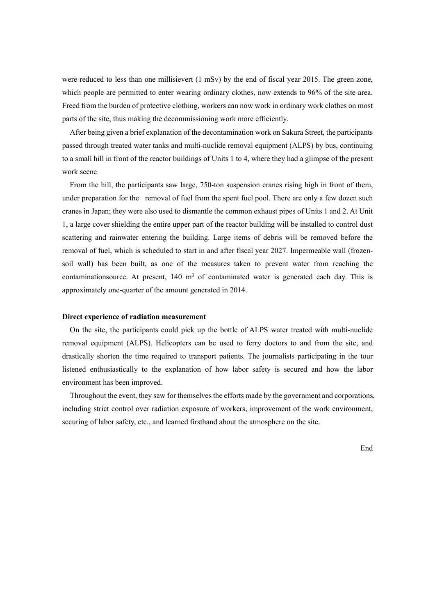were reduced to less than one millisievert (1 mSv) by the end of fiscal year 2015. The green zone, which people are permitted to enter wearing ordinary clothes, now extends to 96% of the site area. Freed from the burden of protective clothing, workers can now work in ordinary work clothes on most parts of the site, thus making the decommissioning work more efficiently.

After being given a brief explanation of the decontamination work on Sakura Street, the participants passed through treated water tanks and multi-nuclide removal equipment (ALPS) by bus, continuing to a small hill in front of the reactor buildings of Units 1 to 4, where they had a glimpse of the present work scene.

From the hill, the participants saw large, 750-ton suspension cranes rising high in front of them, under preparation for the removal of fuel from the spent fuel pool. There are only a few dozen such cranes in Japan; they were also used to dismantle the common exhaust pipes of Units 1 and 2. At Unit 1, a large cover shielding the entire upper part of the reactor building will be installed to control dust scattering and rainwater entering the building. Large items of debris will be removed before the removal of fuel, which is scheduled to start in and after fiscal year 2027. Impermeable wall (frozensoil wall) has been built, as one of the measures taken to prevent water from reaching the contaminationsource. At present,  $140 \text{ m}^3$  of contaminated water is generated each day. This is approximately one-quarter of the amount generated in 2014.

## **Direct experience of radiation measurement**

On the site, the participants could pick up the bottle of ALPS water treated with multi-nuclide removal equipment (ALPS). Helicopters can be used to ferry doctors to and from the site, and drastically shorten the time required to transport patients. The journalists participating in the tour listened enthusiastically to the explanation of how labor safety is secured and how the labor environment has been improved.

Throughout the event, they saw for themselves the efforts made by the government and corporations, including strict control over radiation exposure of workers, improvement of the work environment, securing of labor safety, etc., and learned firsthand about the atmosphere on the site.